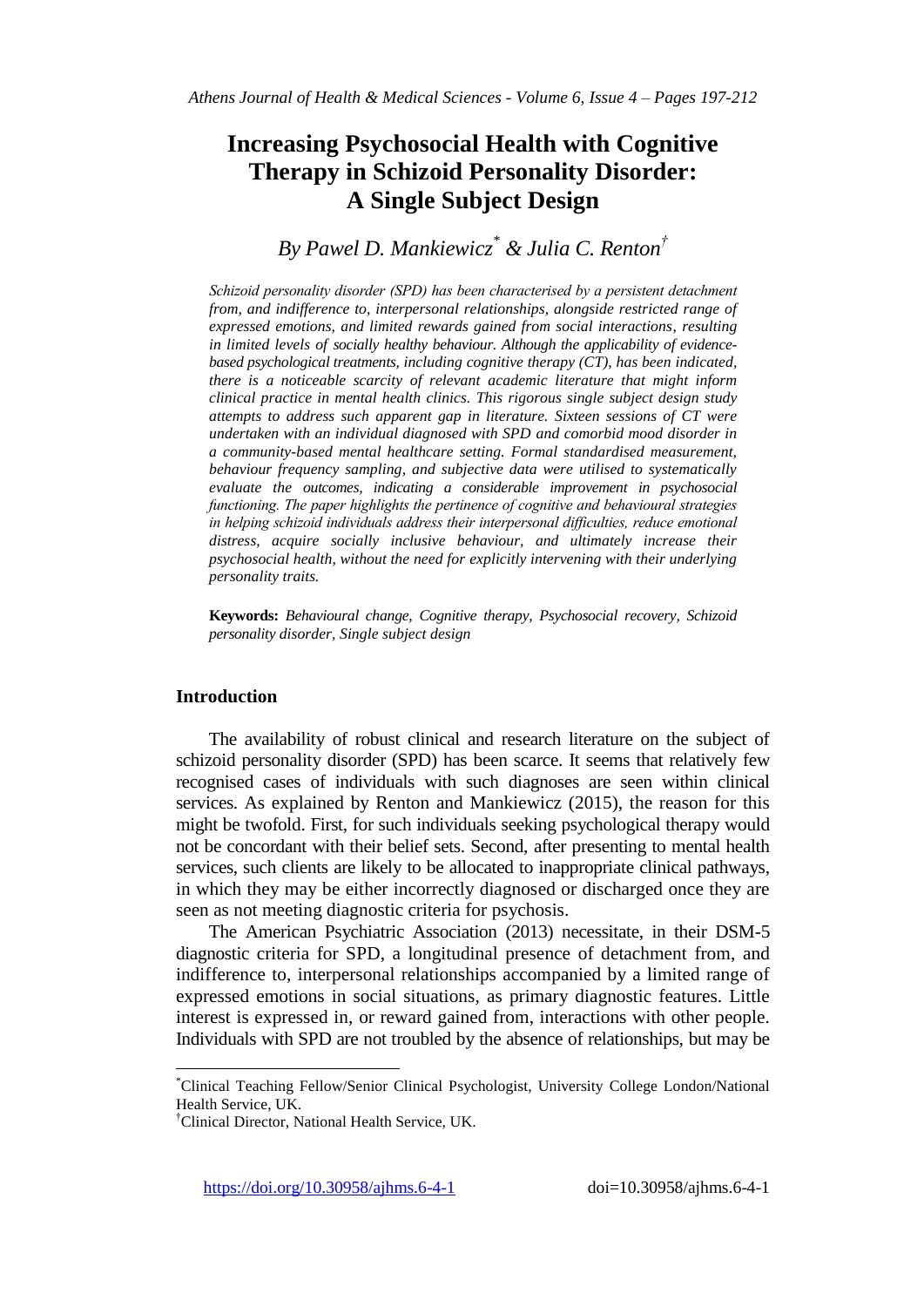# **Increasing Psychosocial Health with Cognitive Therapy in Schizoid Personality Disorder: A Single Subject Design**

*By Pawel D. Mankiewicz\* & Julia C. Renton†*

*Schizoid personality disorder (SPD) has been characterised by a persistent detachment from, and indifference to, interpersonal relationships, alongside restricted range of expressed emotions, and limited rewards gained from social interactions, resulting in limited levels of socially healthy behaviour. Although the applicability of evidencebased psychological treatments, including cognitive therapy (CT), has been indicated, there is a noticeable scarcity of relevant academic literature that might inform clinical practice in mental health clinics. This rigorous single subject design study attempts to address such apparent gap in literature. Sixteen sessions of CT were undertaken with an individual diagnosed with SPD and comorbid mood disorder in a community-based mental healthcare setting. Formal standardised measurement, behaviour frequency sampling, and subjective data were utilised to systematically evaluate the outcomes, indicating a considerable improvement in psychosocial functioning. The paper highlights the pertinence of cognitive and behavioural strategies in helping schizoid individuals address their interpersonal difficulties, reduce emotional distress, acquire socially inclusive behaviour, and ultimately increase their psychosocial health, without the need for explicitly intervening with their underlying personality traits.*

**Keywords:** *Behavioural change, Cognitive therapy, Psychosocial recovery, Schizoid personality disorder, Single subject design*

## **Introduction**

 $\overline{\phantom{a}}$ 

The availability of robust clinical and research literature on the subject of schizoid personality disorder (SPD) has been scarce. It seems that relatively few recognised cases of individuals with such diagnoses are seen within clinical services. As explained by Renton and Mankiewicz (2015), the reason for this might be twofold. First, for such individuals seeking psychological therapy would not be concordant with their belief sets. Second, after presenting to mental health services, such clients are likely to be allocated to inappropriate clinical pathways, in which they may be either incorrectly diagnosed or discharged once they are seen as not meeting diagnostic criteria for psychosis.

The American Psychiatric Association (2013) necessitate, in their DSM-5 diagnostic criteria for SPD, a longitudinal presence of detachment from, and indifference to, interpersonal relationships accompanied by a limited range of expressed emotions in social situations, as primary diagnostic features. Little interest is expressed in, or reward gained from, interactions with other people. Individuals with SPD are not troubled by the absence of relationships, but may be

https://doi.org/10.30958/ajhms.6-4-1 doi=10.30958/ajhms.6-4-1

<sup>\*</sup>Clinical Teaching Fellow/Senior Clinical Psychologist, University College London/National Health Service, UK.

<sup>†</sup>Clinical Director, National Health Service, UK.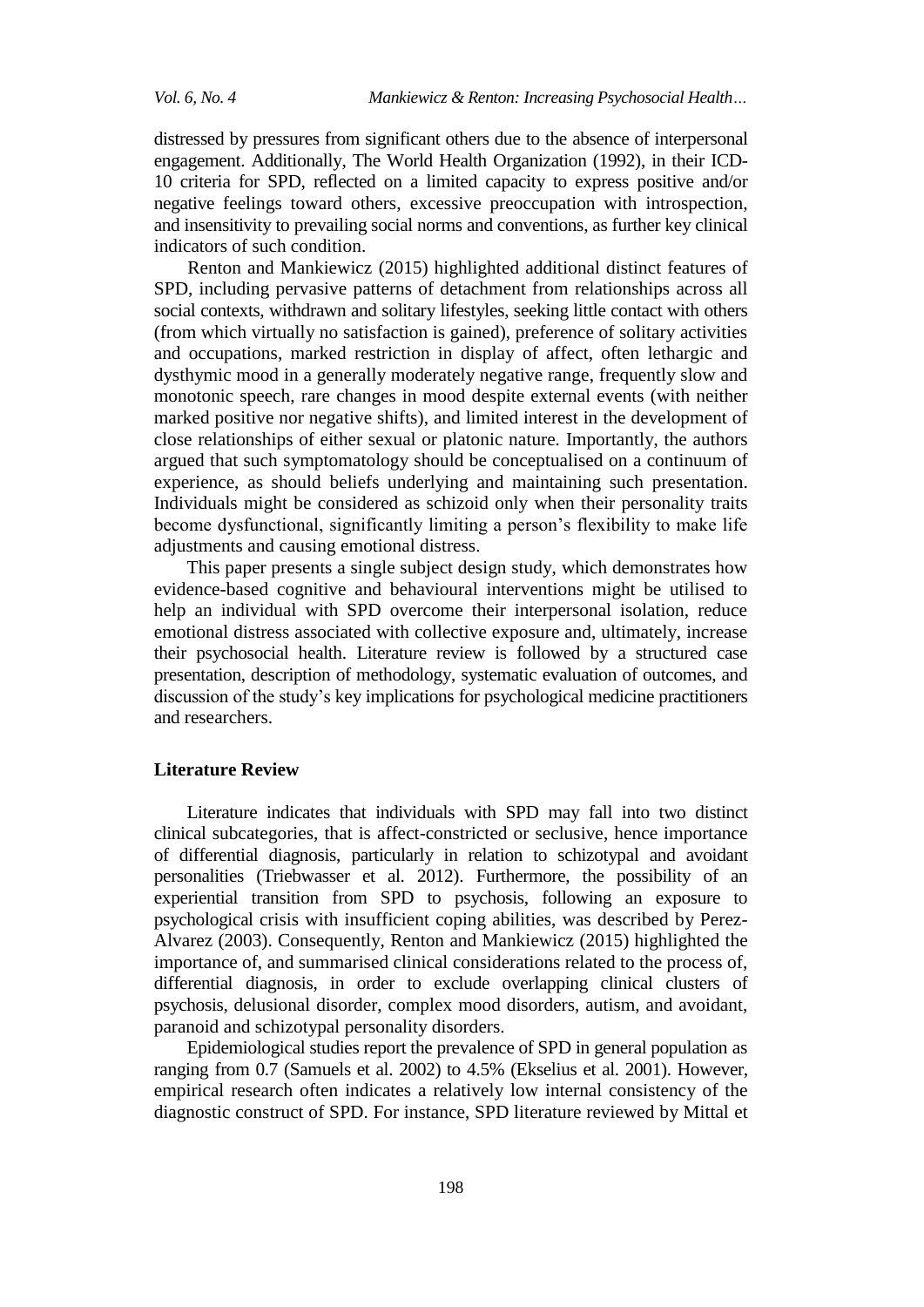distressed by pressures from significant others due to the absence of interpersonal engagement. Additionally, The World Health Organization (1992), in their ICD-10 criteria for SPD, reflected on a limited capacity to express positive and/or negative feelings toward others, excessive preoccupation with introspection, and insensitivity to prevailing social norms and conventions, as further key clinical indicators of such condition.

Renton and Mankiewicz (2015) highlighted additional distinct features of SPD, including pervasive patterns of detachment from relationships across all social contexts, withdrawn and solitary lifestyles, seeking little contact with others (from which virtually no satisfaction is gained), preference of solitary activities and occupations, marked restriction in display of affect, often lethargic and dysthymic mood in a generally moderately negative range, frequently slow and monotonic speech, rare changes in mood despite external events (with neither marked positive nor negative shifts), and limited interest in the development of close relationships of either sexual or platonic nature. Importantly, the authors argued that such symptomatology should be conceptualised on a continuum of experience, as should beliefs underlying and maintaining such presentation. Individuals might be considered as schizoid only when their personality traits become dysfunctional, significantly limiting a person's flexibility to make life adjustments and causing emotional distress.

This paper presents a single subject design study, which demonstrates how evidence-based cognitive and behavioural interventions might be utilised to help an individual with SPD overcome their interpersonal isolation, reduce emotional distress associated with collective exposure and, ultimately, increase their psychosocial health. Literature review is followed by a structured case presentation, description of methodology, systematic evaluation of outcomes, and discussion of the study's key implications for psychological medicine practitioners and researchers.

#### **Literature Review**

Literature indicates that individuals with SPD may fall into two distinct clinical subcategories, that is affect-constricted or seclusive, hence importance of differential diagnosis, particularly in relation to schizotypal and avoidant personalities (Triebwasser et al. 2012). Furthermore, the possibility of an experiential transition from SPD to psychosis, following an exposure to psychological crisis with insufficient coping abilities, was described by Perez-Alvarez (2003). Consequently, Renton and Mankiewicz (2015) highlighted the importance of, and summarised clinical considerations related to the process of, differential diagnosis, in order to exclude overlapping clinical clusters of psychosis, delusional disorder, complex mood disorders, autism, and avoidant, paranoid and schizotypal personality disorders.

Epidemiological studies report the prevalence of SPD in general population as ranging from 0.7 (Samuels et al. 2002) to 4.5% (Ekselius et al. 2001). However, empirical research often indicates a relatively low internal consistency of the diagnostic construct of SPD. For instance, SPD literature reviewed by Mittal et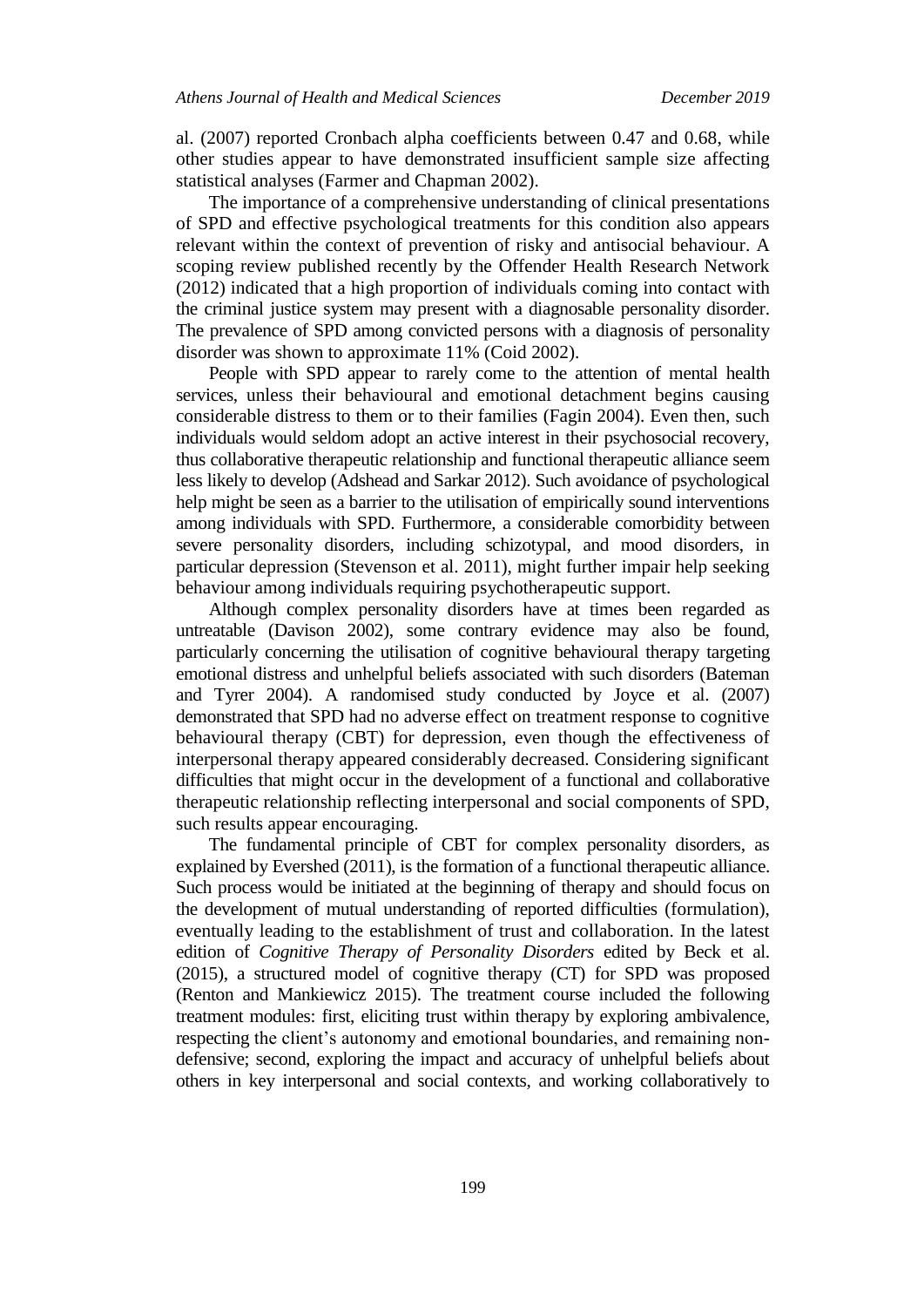al. (2007) reported Cronbach alpha coefficients between 0.47 and 0.68, while other studies appear to have demonstrated insufficient sample size affecting statistical analyses (Farmer and Chapman 2002).

The importance of a comprehensive understanding of clinical presentations of SPD and effective psychological treatments for this condition also appears relevant within the context of prevention of risky and antisocial behaviour. A scoping review published recently by the Offender Health Research Network (2012) indicated that a high proportion of individuals coming into contact with the criminal justice system may present with a diagnosable personality disorder. The prevalence of SPD among convicted persons with a diagnosis of personality disorder was shown to approximate 11% (Coid 2002).

People with SPD appear to rarely come to the attention of mental health services, unless their behavioural and emotional detachment begins causing considerable distress to them or to their families (Fagin 2004). Even then, such individuals would seldom adopt an active interest in their psychosocial recovery, thus collaborative therapeutic relationship and functional therapeutic alliance seem less likely to develop (Adshead and Sarkar 2012). Such avoidance of psychological help might be seen as a barrier to the utilisation of empirically sound interventions among individuals with SPD. Furthermore, a considerable comorbidity between severe personality disorders, including schizotypal, and mood disorders, in particular depression (Stevenson et al. 2011), might further impair help seeking behaviour among individuals requiring psychotherapeutic support.

Although complex personality disorders have at times been regarded as untreatable (Davison 2002), some contrary evidence may also be found, particularly concerning the utilisation of cognitive behavioural therapy targeting emotional distress and unhelpful beliefs associated with such disorders (Bateman and Tyrer 2004). A randomised study conducted by Joyce et al. (2007) demonstrated that SPD had no adverse effect on treatment response to cognitive behavioural therapy (CBT) for depression, even though the effectiveness of interpersonal therapy appeared considerably decreased. Considering significant difficulties that might occur in the development of a functional and collaborative therapeutic relationship reflecting interpersonal and social components of SPD, such results appear encouraging.

The fundamental principle of CBT for complex personality disorders, as explained by Evershed (2011), is the formation of a functional therapeutic alliance. Such process would be initiated at the beginning of therapy and should focus on the development of mutual understanding of reported difficulties (formulation), eventually leading to the establishment of trust and collaboration. In the latest edition of *Cognitive Therapy of Personality Disorders* edited by Beck et al. (2015), a structured model of cognitive therapy (CT) for SPD was proposed (Renton and Mankiewicz 2015). The treatment course included the following treatment modules: first, eliciting trust within therapy by exploring ambivalence, respecting the client's autonomy and emotional boundaries, and remaining nondefensive; second, exploring the impact and accuracy of unhelpful beliefs about others in key interpersonal and social contexts, and working collaboratively to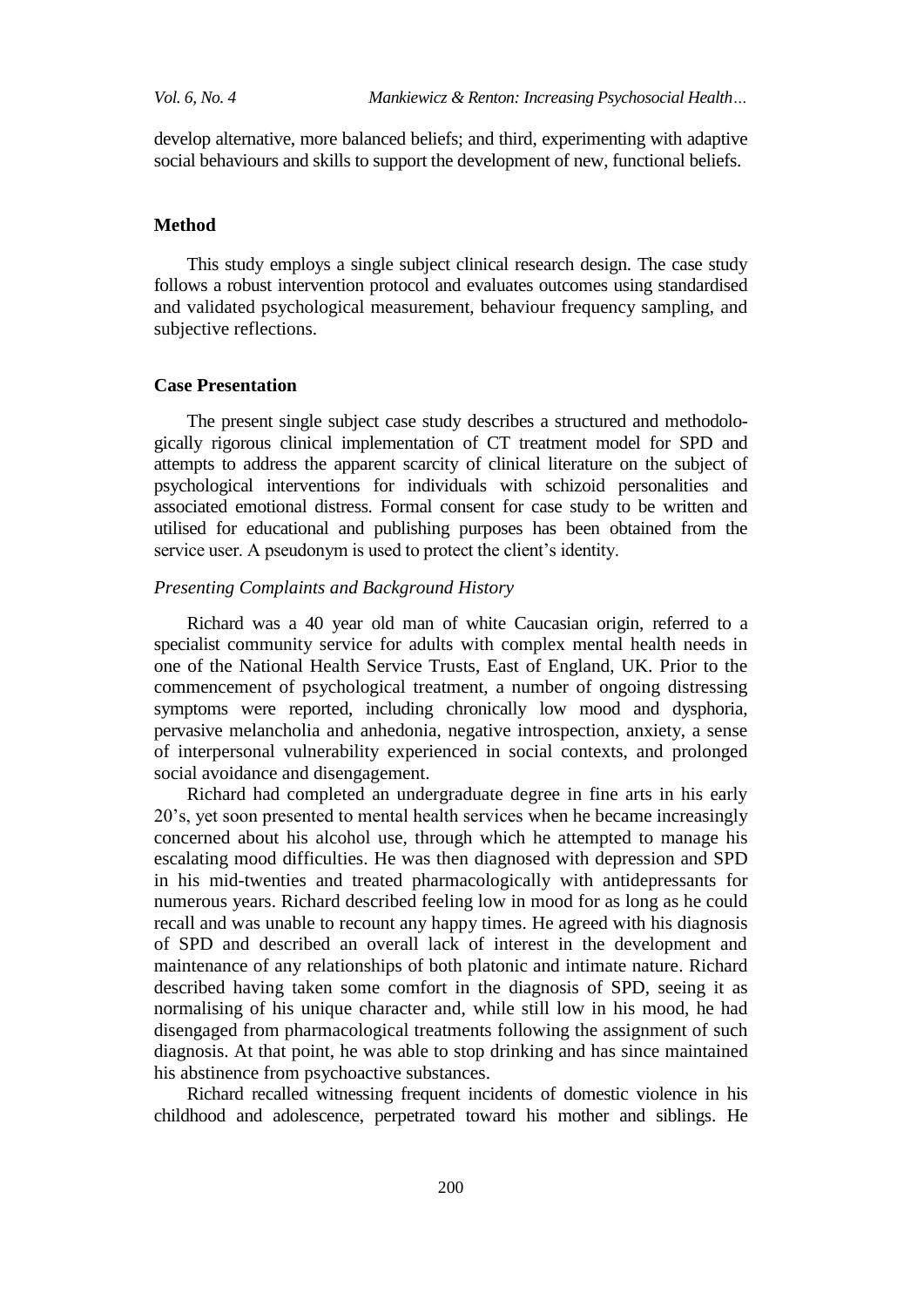develop alternative, more balanced beliefs; and third, experimenting with adaptive social behaviours and skills to support the development of new, functional beliefs.

#### **Method**

This study employs a single subject clinical research design. The case study follows a robust intervention protocol and evaluates outcomes using standardised and validated psychological measurement, behaviour frequency sampling, and subjective reflections.

## **Case Presentation**

The present single subject case study describes a structured and methodologically rigorous clinical implementation of CT treatment model for SPD and attempts to address the apparent scarcity of clinical literature on the subject of psychological interventions for individuals with schizoid personalities and associated emotional distress. Formal consent for case study to be written and utilised for educational and publishing purposes has been obtained from the service user. A pseudonym is used to protect the client's identity.

## *Presenting Complaints and Background History*

Richard was a 40 year old man of white Caucasian origin, referred to a specialist community service for adults with complex mental health needs in one of the National Health Service Trusts, East of England, UK. Prior to the commencement of psychological treatment, a number of ongoing distressing symptoms were reported, including chronically low mood and dysphoria, pervasive melancholia and anhedonia, negative introspection, anxiety, a sense of interpersonal vulnerability experienced in social contexts, and prolonged social avoidance and disengagement.

Richard had completed an undergraduate degree in fine arts in his early 20's, yet soon presented to mental health services when he became increasingly concerned about his alcohol use, through which he attempted to manage his escalating mood difficulties. He was then diagnosed with depression and SPD in his mid-twenties and treated pharmacologically with antidepressants for numerous years. Richard described feeling low in mood for as long as he could recall and was unable to recount any happy times. He agreed with his diagnosis of SPD and described an overall lack of interest in the development and maintenance of any relationships of both platonic and intimate nature. Richard described having taken some comfort in the diagnosis of SPD, seeing it as normalising of his unique character and, while still low in his mood, he had disengaged from pharmacological treatments following the assignment of such diagnosis. At that point, he was able to stop drinking and has since maintained his abstinence from psychoactive substances.

Richard recalled witnessing frequent incidents of domestic violence in his childhood and adolescence, perpetrated toward his mother and siblings. He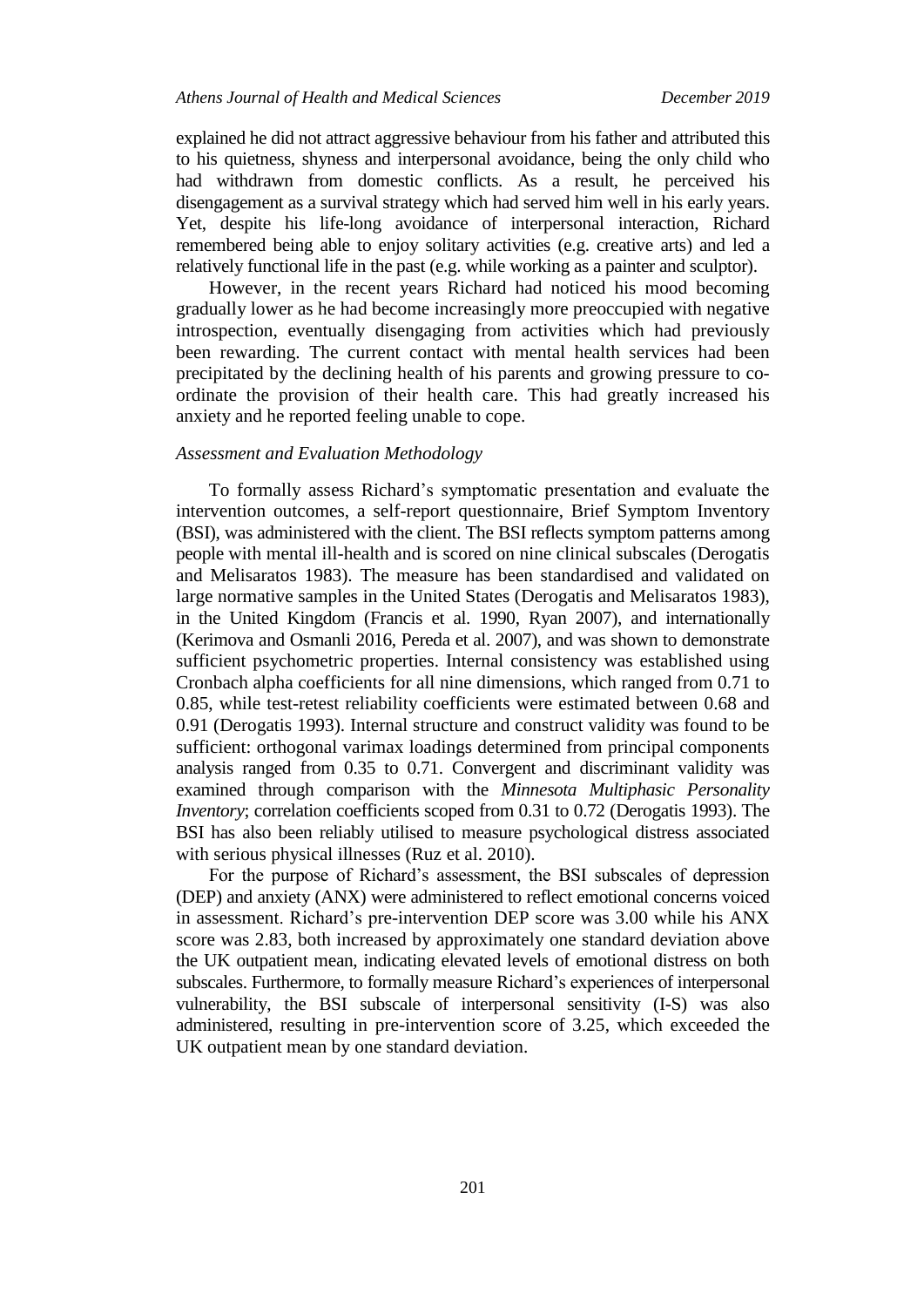explained he did not attract aggressive behaviour from his father and attributed this to his quietness, shyness and interpersonal avoidance, being the only child who had withdrawn from domestic conflicts. As a result, he perceived his disengagement as a survival strategy which had served him well in his early years. Yet, despite his life-long avoidance of interpersonal interaction, Richard remembered being able to enjoy solitary activities (e.g. creative arts) and led a relatively functional life in the past (e.g. while working as a painter and sculptor).

However, in the recent years Richard had noticed his mood becoming gradually lower as he had become increasingly more preoccupied with negative introspection, eventually disengaging from activities which had previously been rewarding. The current contact with mental health services had been precipitated by the declining health of his parents and growing pressure to coordinate the provision of their health care. This had greatly increased his anxiety and he reported feeling unable to cope.

## *Assessment and Evaluation Methodology*

To formally assess Richard's symptomatic presentation and evaluate the intervention outcomes, a self-report questionnaire, Brief Symptom Inventory (BSI), was administered with the client. The BSI reflects symptom patterns among people with mental ill-health and is scored on nine clinical subscales (Derogatis and Melisaratos 1983). The measure has been standardised and validated on large normative samples in the United States (Derogatis and Melisaratos 1983), in the United Kingdom (Francis et al. 1990, Ryan 2007), and internationally (Kerimova and Osmanli 2016, Pereda et al. 2007), and was shown to demonstrate sufficient psychometric properties. Internal consistency was established using Cronbach alpha coefficients for all nine dimensions, which ranged from 0.71 to 0.85, while test-retest reliability coefficients were estimated between 0.68 and 0.91 (Derogatis 1993). Internal structure and construct validity was found to be sufficient: orthogonal varimax loadings determined from principal components analysis ranged from 0.35 to 0.71. Convergent and discriminant validity was examined through comparison with the *Minnesota Multiphasic Personality Inventory*; correlation coefficients scoped from 0.31 to 0.72 (Derogatis 1993). The BSI has also been reliably utilised to measure psychological distress associated with serious physical illnesses (Ruz et al. 2010).

For the purpose of Richard's assessment, the BSI subscales of depression (DEP) and anxiety (ANX) were administered to reflect emotional concerns voiced in assessment. Richard's pre-intervention DEP score was 3.00 while his ANX score was 2.83, both increased by approximately one standard deviation above the UK outpatient mean, indicating elevated levels of emotional distress on both subscales. Furthermore, to formally measure Richard's experiences of interpersonal vulnerability, the BSI subscale of interpersonal sensitivity (I-S) was also administered, resulting in pre-intervention score of 3.25, which exceeded the UK outpatient mean by one standard deviation.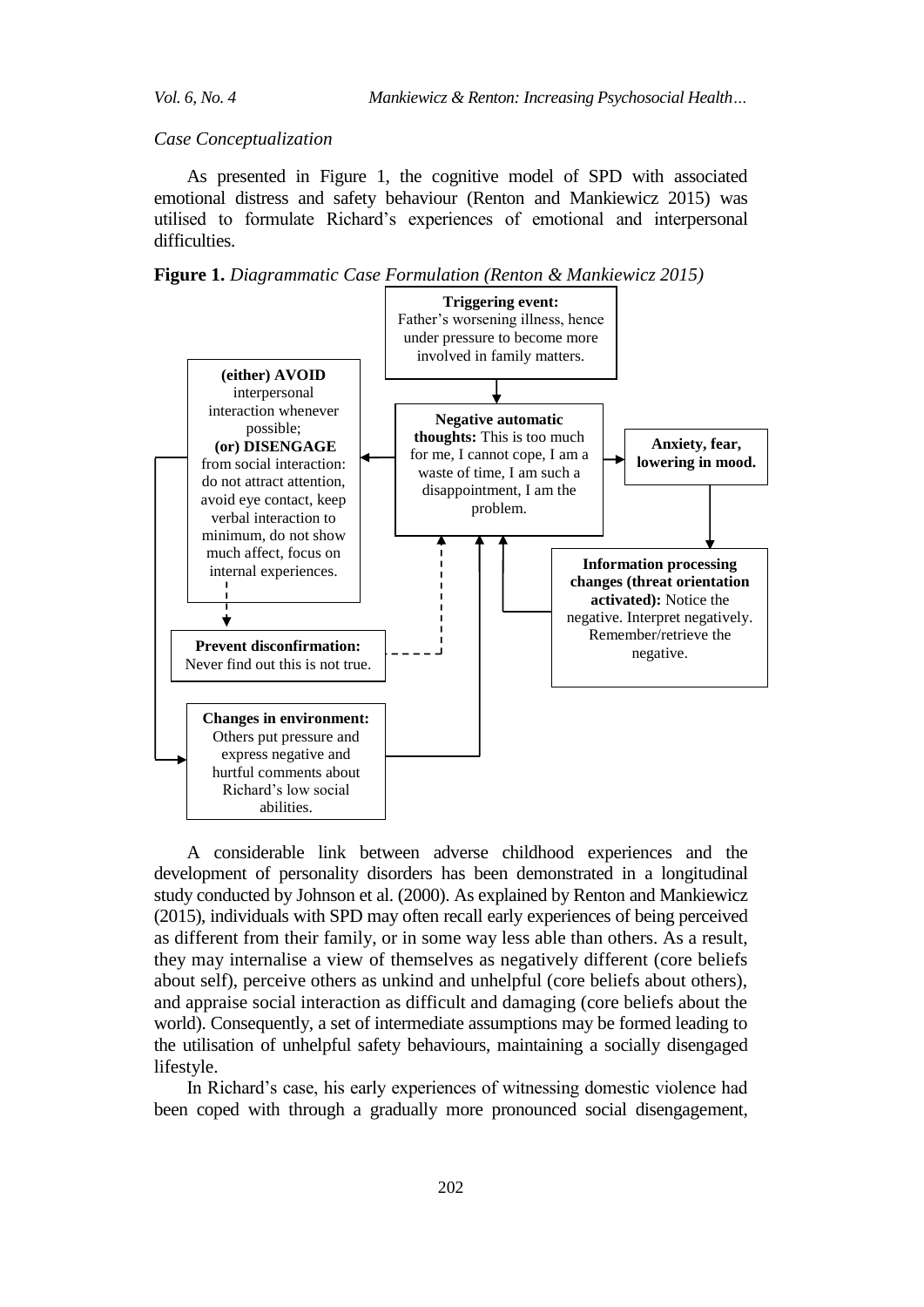*Case Conceptualization*

As presented in Figure 1, the cognitive model of SPD with associated emotional distress and safety behaviour (Renton and Mankiewicz 2015) was utilised to formulate Richard's experiences of emotional and interpersonal difficulties.

**Figure 1.** *Diagrammatic Case Formulation (Renton & Mankiewicz 2015)*



A considerable link between adverse childhood experiences and the development of personality disorders has been demonstrated in a longitudinal study conducted by Johnson et al. (2000). As explained by Renton and Mankiewicz (2015), individuals with SPD may often recall early experiences of being perceived as different from their family, or in some way less able than others. As a result, they may internalise a view of themselves as negatively different (core beliefs about self), perceive others as unkind and unhelpful (core beliefs about others), and appraise social interaction as difficult and damaging (core beliefs about the world). Consequently, a set of intermediate assumptions may be formed leading to the utilisation of unhelpful safety behaviours, maintaining a socially disengaged lifestyle.

In Richard's case, his early experiences of witnessing domestic violence had been coped with through a gradually more pronounced social disengagement,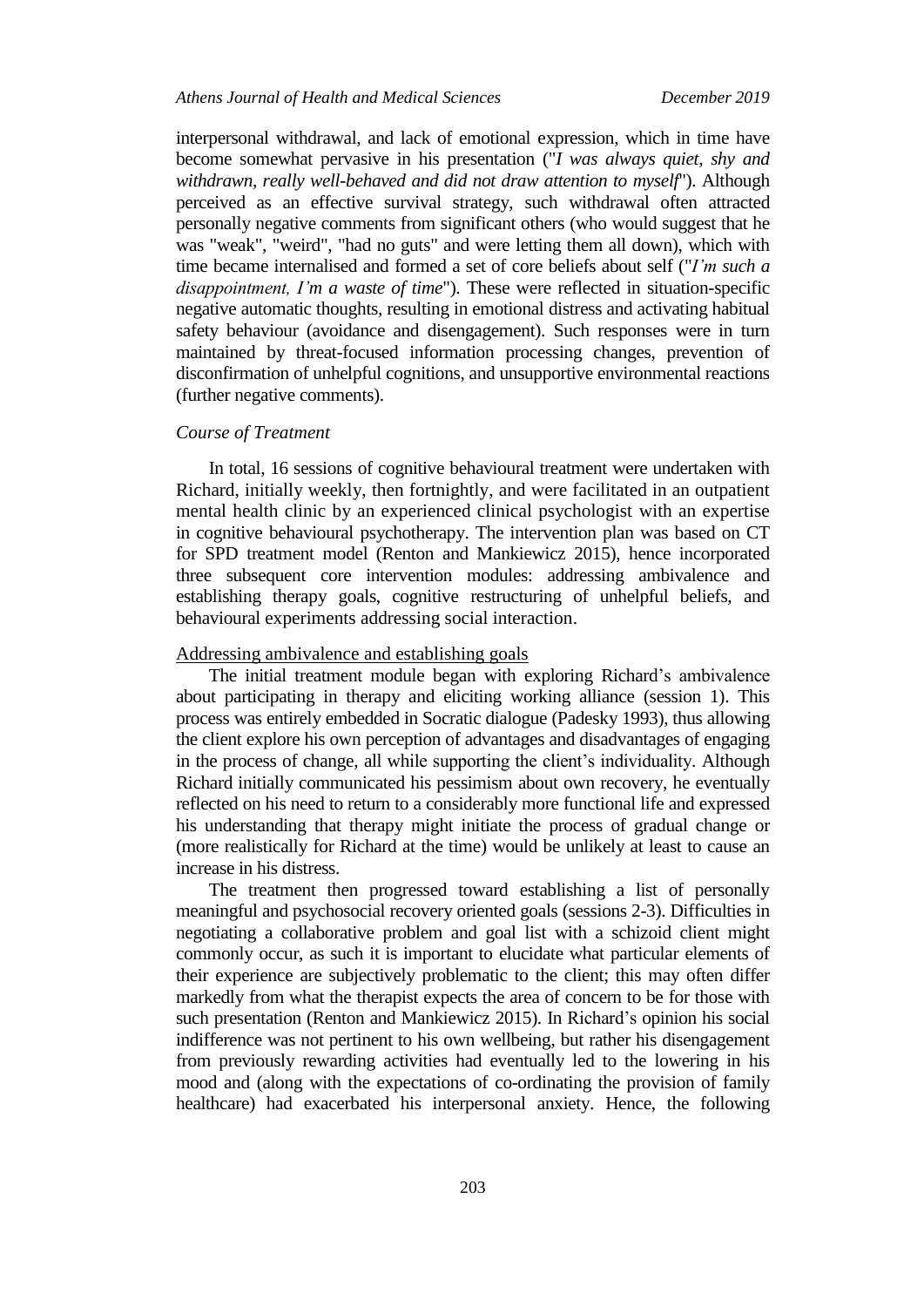## *Athens Journal of Health and Medical Sciences December 2019*

interpersonal withdrawal, and lack of emotional expression, which in time have become somewhat pervasive in his presentation ("*I was always quiet, shy and withdrawn, really well-behaved and did not draw attention to myself*"). Although perceived as an effective survival strategy, such withdrawal often attracted personally negative comments from significant others (who would suggest that he was "weak", "weird", "had no guts" and were letting them all down), which with time became internalised and formed a set of core beliefs about self ("*I'm such a disappointment, I'm a waste of time*"). These were reflected in situation-specific negative automatic thoughts, resulting in emotional distress and activating habitual safety behaviour (avoidance and disengagement). Such responses were in turn maintained by threat-focused information processing changes, prevention of disconfirmation of unhelpful cognitions, and unsupportive environmental reactions (further negative comments).

#### *Course of Treatment*

In total, 16 sessions of cognitive behavioural treatment were undertaken with Richard, initially weekly, then fortnightly, and were facilitated in an outpatient mental health clinic by an experienced clinical psychologist with an expertise in cognitive behavioural psychotherapy. The intervention plan was based on CT for SPD treatment model (Renton and Mankiewicz 2015), hence incorporated three subsequent core intervention modules: addressing ambivalence and establishing therapy goals, cognitive restructuring of unhelpful beliefs, and behavioural experiments addressing social interaction.

#### Addressing ambivalence and establishing goals

The initial treatment module began with exploring Richard's ambivalence about participating in therapy and eliciting working alliance (session 1). This process was entirely embedded in Socratic dialogue (Padesky 1993), thus allowing the client explore his own perception of advantages and disadvantages of engaging in the process of change, all while supporting the client's individuality. Although Richard initially communicated his pessimism about own recovery, he eventually reflected on his need to return to a considerably more functional life and expressed his understanding that therapy might initiate the process of gradual change or (more realistically for Richard at the time) would be unlikely at least to cause an increase in his distress.

The treatment then progressed toward establishing a list of personally meaningful and psychosocial recovery oriented goals (sessions 2-3). Difficulties in negotiating a collaborative problem and goal list with a schizoid client might commonly occur, as such it is important to elucidate what particular elements of their experience are subjectively problematic to the client; this may often differ markedly from what the therapist expects the area of concern to be for those with such presentation (Renton and Mankiewicz 2015). In Richard's opinion his social indifference was not pertinent to his own wellbeing, but rather his disengagement from previously rewarding activities had eventually led to the lowering in his mood and (along with the expectations of co-ordinating the provision of family healthcare) had exacerbated his interpersonal anxiety. Hence, the following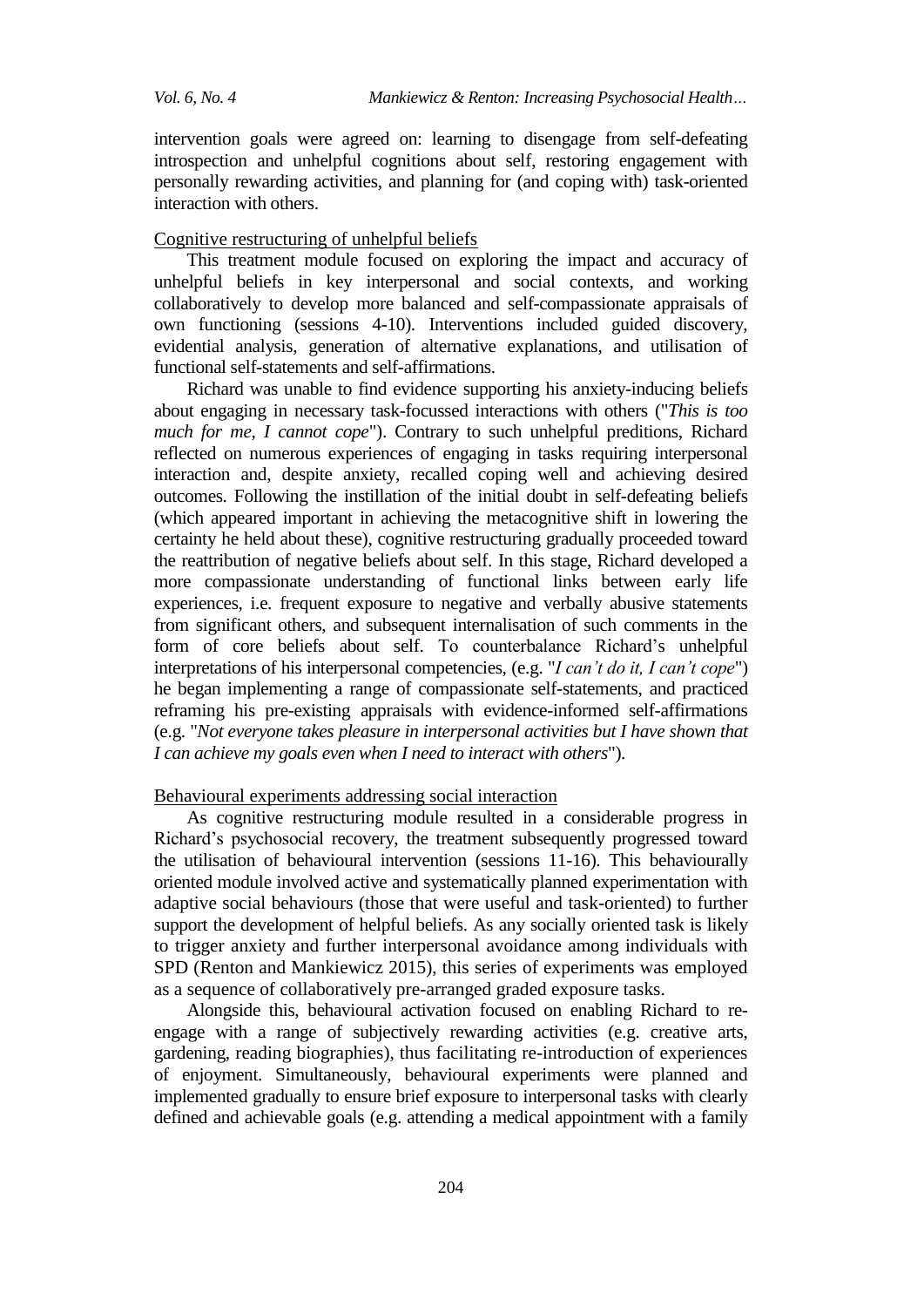intervention goals were agreed on: learning to disengage from self-defeating introspection and unhelpful cognitions about self, restoring engagement with personally rewarding activities, and planning for (and coping with) task-oriented interaction with others.

## Cognitive restructuring of unhelpful beliefs

This treatment module focused on exploring the impact and accuracy of unhelpful beliefs in key interpersonal and social contexts, and working collaboratively to develop more balanced and self-compassionate appraisals of own functioning (sessions 4-10). Interventions included guided discovery, evidential analysis, generation of alternative explanations, and utilisation of functional self-statements and self-affirmations.

Richard was unable to find evidence supporting his anxiety-inducing beliefs about engaging in necessary task-focussed interactions with others ("*This is too much for me, I cannot cope*"). Contrary to such unhelpful preditions, Richard reflected on numerous experiences of engaging in tasks requiring interpersonal interaction and, despite anxiety, recalled coping well and achieving desired outcomes. Following the instillation of the initial doubt in self-defeating beliefs (which appeared important in achieving the metacognitive shift in lowering the certainty he held about these), cognitive restructuring gradually proceeded toward the reattribution of negative beliefs about self. In this stage, Richard developed a more compassionate understanding of functional links between early life experiences, i.e. frequent exposure to negative and verbally abusive statements from significant others, and subsequent internalisation of such comments in the form of core beliefs about self. To counterbalance Richard's unhelpful interpretations of his interpersonal competencies, (e.g. "*I can't do it, I can't cope*") he began implementing a range of compassionate self-statements, and practiced reframing his pre-existing appraisals with evidence-informed self-affirmations (e.g. "*Not everyone takes pleasure in interpersonal activities but I have shown that I can achieve my goals even when I need to interact with others*").

# Behavioural experiments addressing social interaction

As cognitive restructuring module resulted in a considerable progress in Richard's psychosocial recovery, the treatment subsequently progressed toward the utilisation of behavioural intervention (sessions 11-16). This behaviourally oriented module involved active and systematically planned experimentation with adaptive social behaviours (those that were useful and task-oriented) to further support the development of helpful beliefs. As any socially oriented task is likely to trigger anxiety and further interpersonal avoidance among individuals with SPD (Renton and Mankiewicz 2015), this series of experiments was employed as a sequence of collaboratively pre-arranged graded exposure tasks.

Alongside this, behavioural activation focused on enabling Richard to reengage with a range of subjectively rewarding activities (e.g. creative arts, gardening, reading biographies), thus facilitating re-introduction of experiences of enjoyment. Simultaneously, behavioural experiments were planned and implemented gradually to ensure brief exposure to interpersonal tasks with clearly defined and achievable goals (e.g. attending a medical appointment with a family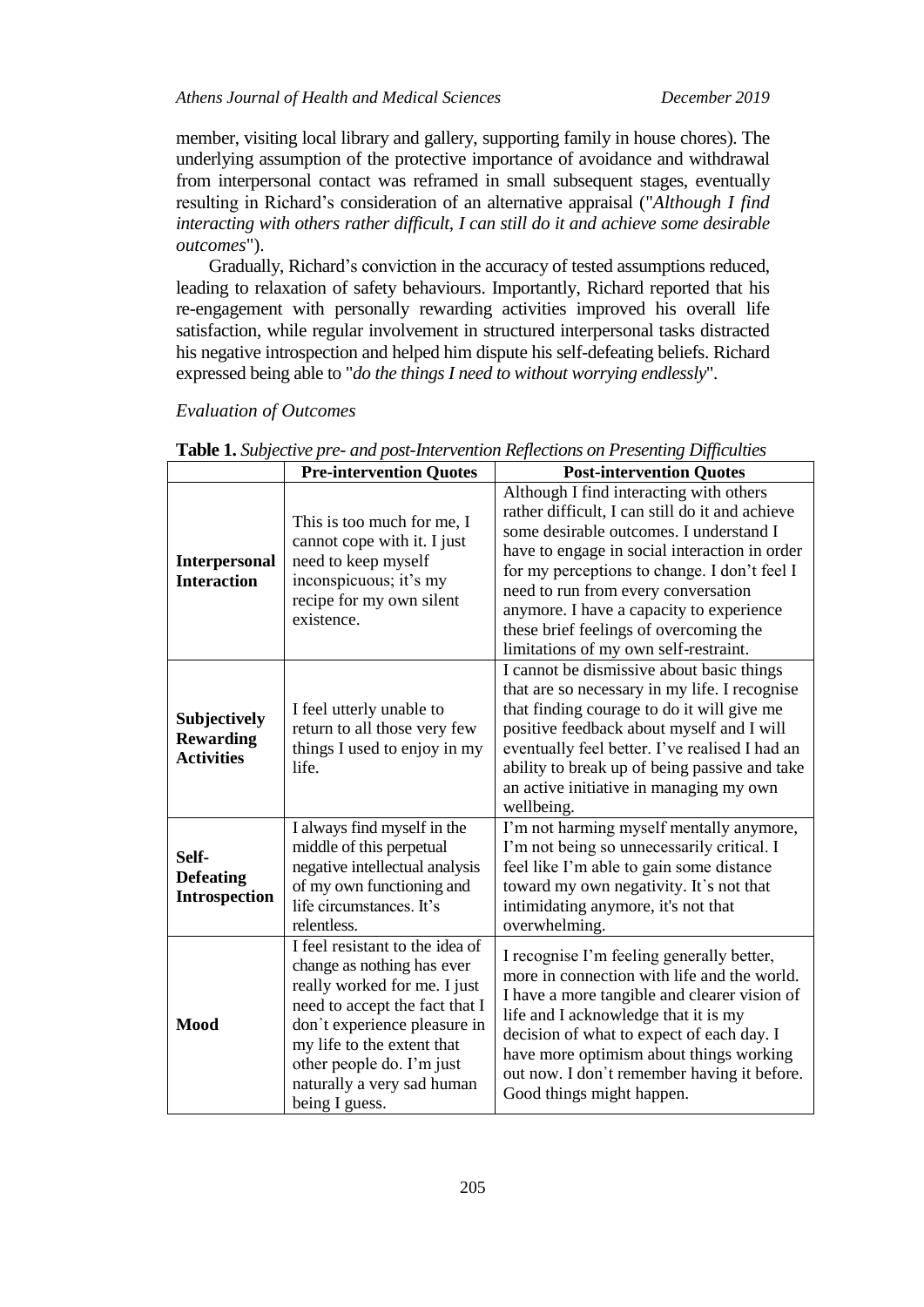## *Athens Journal of Health and Medical Sciences December 2019*

member, visiting local library and gallery, supporting family in house chores). The underlying assumption of the protective importance of avoidance and withdrawal from interpersonal contact was reframed in small subsequent stages, eventually resulting in Richard's consideration of an alternative appraisal ("*Although I find interacting with others rather difficult, I can still do it and achieve some desirable outcomes*").

Gradually, Richard's conviction in the accuracy of tested assumptions reduced, leading to relaxation of safety behaviours. Importantly, Richard reported that his re-engagement with personally rewarding activities improved his overall life satisfaction, while regular involvement in structured interpersonal tasks distracted his negative introspection and helped him dispute his self-defeating beliefs. Richard expressed being able to "*do the things I need to without worrying endlessly*".

#### *Evaluation of Outcomes*

|                                                       | <b>Pre-intervention Quotes</b>                                                                                                                                                                                                                                             | <b>Post-intervention Quotes</b>                                                                                                                                                                                                                                                                                                                                                                              |
|-------------------------------------------------------|----------------------------------------------------------------------------------------------------------------------------------------------------------------------------------------------------------------------------------------------------------------------------|--------------------------------------------------------------------------------------------------------------------------------------------------------------------------------------------------------------------------------------------------------------------------------------------------------------------------------------------------------------------------------------------------------------|
| <b>Interpersonal</b><br><b>Interaction</b>            | This is too much for me, I<br>cannot cope with it. I just<br>need to keep myself<br>inconspicuous; it's my<br>recipe for my own silent<br>existence.                                                                                                                       | Although I find interacting with others<br>rather difficult, I can still do it and achieve<br>some desirable outcomes. I understand I<br>have to engage in social interaction in order<br>for my perceptions to change. I don't feel I<br>need to run from every conversation<br>anymore. I have a capacity to experience<br>these brief feelings of overcoming the<br>limitations of my own self-restraint. |
| Subjectively<br><b>Rewarding</b><br><b>Activities</b> | I feel utterly unable to<br>return to all those very few<br>things I used to enjoy in my<br>life.                                                                                                                                                                          | I cannot be dismissive about basic things<br>that are so necessary in my life. I recognise<br>that finding courage to do it will give me<br>positive feedback about myself and I will<br>eventually feel better. I've realised I had an<br>ability to break up of being passive and take<br>an active initiative in managing my own<br>wellbeing.                                                            |
| Self-<br><b>Defeating</b><br><b>Introspection</b>     | I always find myself in the<br>middle of this perpetual<br>negative intellectual analysis<br>of my own functioning and<br>life circumstances. It's<br>relentless.                                                                                                          | I'm not harming myself mentally anymore,<br>I'm not being so unnecessarily critical. I<br>feel like I'm able to gain some distance<br>toward my own negativity. It's not that<br>intimidating anymore, it's not that<br>overwhelming.                                                                                                                                                                        |
| <b>Mood</b>                                           | I feel resistant to the idea of<br>change as nothing has ever<br>really worked for me. I just<br>need to accept the fact that I<br>don't experience pleasure in<br>my life to the extent that<br>other people do. I'm just<br>naturally a very sad human<br>being I guess. | I recognise I'm feeling generally better,<br>more in connection with life and the world.<br>I have a more tangible and clearer vision of<br>life and I acknowledge that it is my<br>decision of what to expect of each day. I<br>have more optimism about things working<br>out now. I don't remember having it before.<br>Good things might happen.                                                         |

**Table 1.** *Subjective pre- and post-Intervention Reflections on Presenting Difficulties*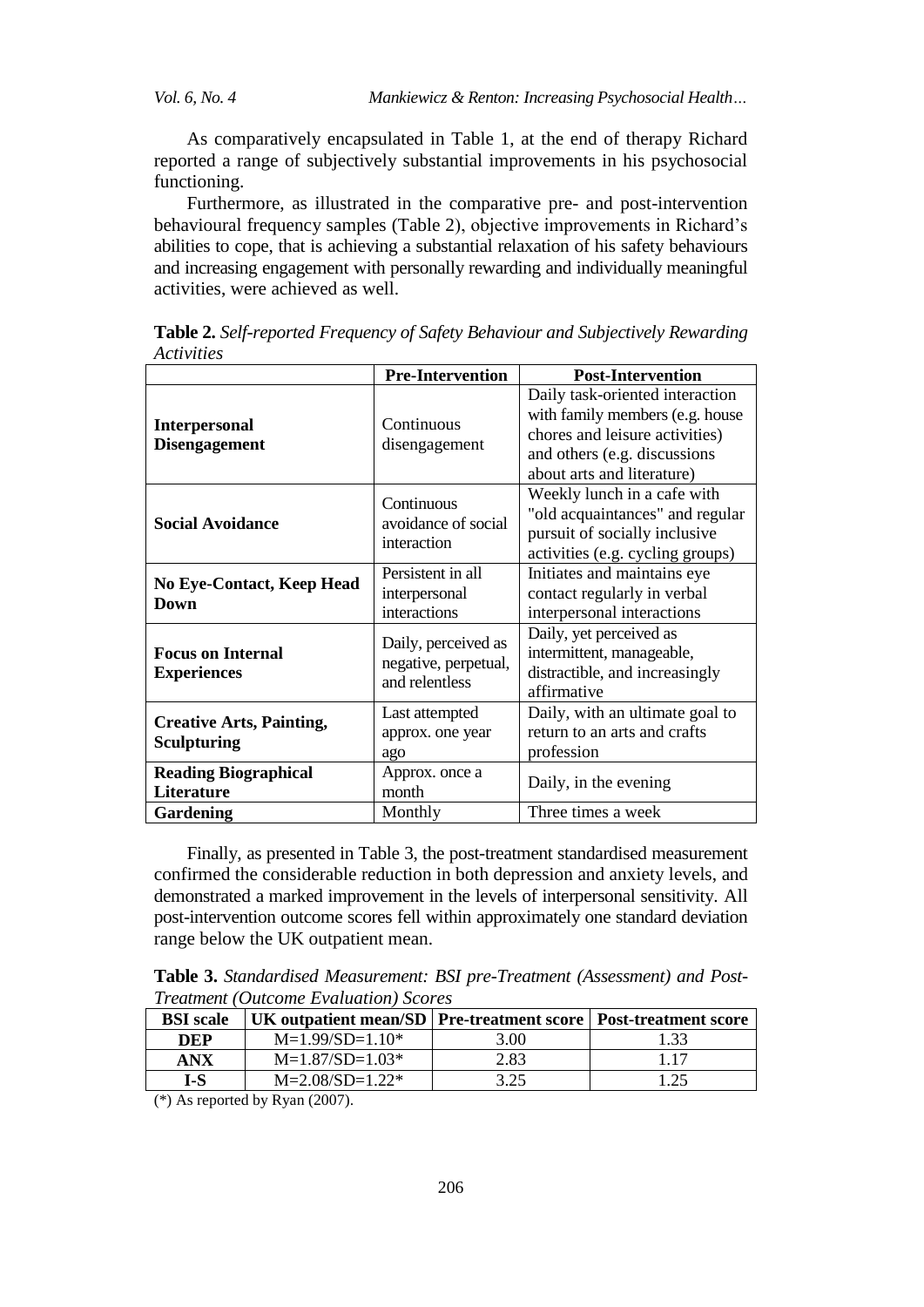*Vol. 6, No. 4 Mankiewicz & Renton: Increasing Psychosocial Health…*

As comparatively encapsulated in Table 1, at the end of therapy Richard reported a range of subjectively substantial improvements in his psychosocial functioning.

Furthermore, as illustrated in the comparative pre- and post-intervention behavioural frequency samples (Table 2), objective improvements in Richard's abilities to cope, that is achieving a substantial relaxation of his safety behaviours and increasing engagement with personally rewarding and individually meaningful activities, were achieved as well.

|                                                       | <b>Pre-Intervention</b>                                       | <b>Post-Intervention</b>                                                                                                                                           |
|-------------------------------------------------------|---------------------------------------------------------------|--------------------------------------------------------------------------------------------------------------------------------------------------------------------|
| <b>Interpersonal</b><br><b>Disengagement</b>          | Continuous<br>disengagement                                   | Daily task-oriented interaction<br>with family members (e.g. house<br>chores and leisure activities)<br>and others (e.g. discussions<br>about arts and literature) |
| <b>Social Avoidance</b>                               | Continuous<br>avoidance of social<br>interaction              | Weekly lunch in a cafe with<br>"old acquaintances" and regular<br>pursuit of socially inclusive<br>activities (e.g. cycling groups)                                |
| <b>No Eye-Contact, Keep Head</b><br>Down              | Persistent in all<br>interpersonal<br>interactions            | Initiates and maintains eye<br>contact regularly in verbal<br>interpersonal interactions                                                                           |
| <b>Focus on Internal</b><br><b>Experiences</b>        | Daily, perceived as<br>negative, perpetual,<br>and relentless | Daily, yet perceived as<br>intermittent, manageable,<br>distractible, and increasingly<br>affirmative                                                              |
| <b>Creative Arts, Painting,</b><br><b>Sculpturing</b> | Last attempted<br>approx. one year<br>ago                     | Daily, with an ultimate goal to<br>return to an arts and crafts<br>profession                                                                                      |
| <b>Reading Biographical</b><br>Literature             | Approx. once a<br>month                                       | Daily, in the evening                                                                                                                                              |
| <b>Gardening</b>                                      | Monthly                                                       | Three times a week                                                                                                                                                 |

**Table 2.** *Self-reported Frequency of Safety Behaviour and Subjectively Rewarding Activities*

Finally, as presented in Table 3, the post-treatment standardised measurement confirmed the considerable reduction in both depression and anxiety levels, and demonstrated a marked improvement in the levels of interpersonal sensitivity. All post-intervention outcome scores fell within approximately one standard deviation range below the UK outpatient mean.

**Table 3.** *Standardised Measurement: BSI pre-Treatment (Assessment) and Post-Treatment (Outcome Evaluation) Scores*

| <b>BSI</b> scale | UK outpatient mean/SD   Pre-treatment score   Post-treatment score |      |      |
|------------------|--------------------------------------------------------------------|------|------|
| DEP              | $M=1.99/SD=1.10*$                                                  | 3.00 | 1.33 |
| <b>ANX</b>       | $M=1.87/SD=1.03*$                                                  | 2.83 | 117  |
| $I-S$            | $M=2.08/SD=1.22*$                                                  | 3.25 | 1 25 |

(\*) As reported by Ryan (2007).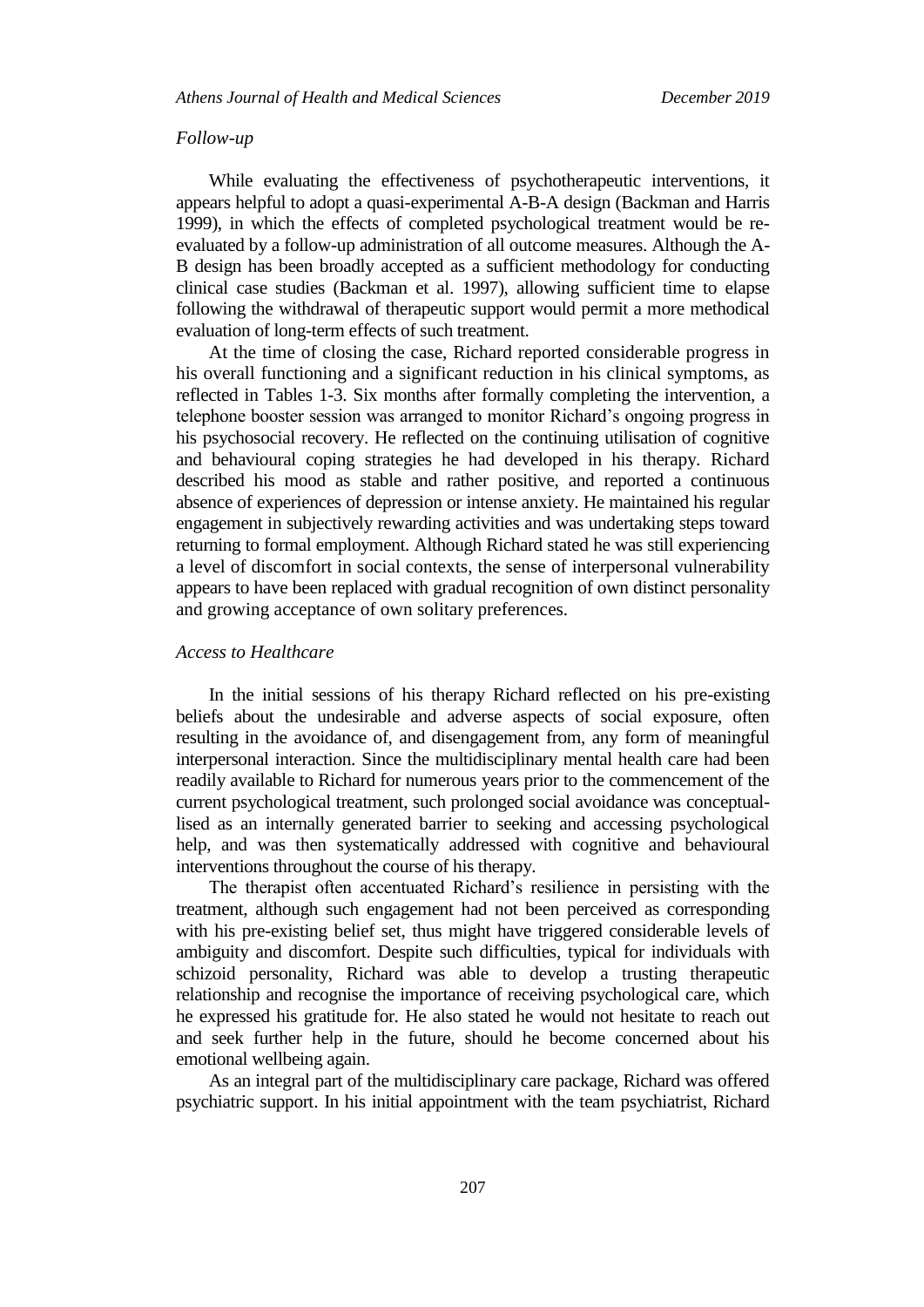#### *Follow-up*

While evaluating the effectiveness of psychotherapeutic interventions, it appears helpful to adopt a quasi-experimental A-B-A design (Backman and Harris 1999), in which the effects of completed psychological treatment would be reevaluated by a follow-up administration of all outcome measures. Although the A-B design has been broadly accepted as a sufficient methodology for conducting clinical case studies (Backman et al. 1997), allowing sufficient time to elapse following the withdrawal of therapeutic support would permit a more methodical evaluation of long-term effects of such treatment.

At the time of closing the case, Richard reported considerable progress in his overall functioning and a significant reduction in his clinical symptoms, as reflected in Tables 1-3. Six months after formally completing the intervention, a telephone booster session was arranged to monitor Richard's ongoing progress in his psychosocial recovery. He reflected on the continuing utilisation of cognitive and behavioural coping strategies he had developed in his therapy. Richard described his mood as stable and rather positive, and reported a continuous absence of experiences of depression or intense anxiety. He maintained his regular engagement in subjectively rewarding activities and was undertaking steps toward returning to formal employment. Although Richard stated he was still experiencing a level of discomfort in social contexts, the sense of interpersonal vulnerability appears to have been replaced with gradual recognition of own distinct personality and growing acceptance of own solitary preferences.

#### *Access to Healthcare*

In the initial sessions of his therapy Richard reflected on his pre-existing beliefs about the undesirable and adverse aspects of social exposure, often resulting in the avoidance of, and disengagement from, any form of meaningful interpersonal interaction. Since the multidisciplinary mental health care had been readily available to Richard for numerous years prior to the commencement of the current psychological treatment, such prolonged social avoidance was conceptuallised as an internally generated barrier to seeking and accessing psychological help, and was then systematically addressed with cognitive and behavioural interventions throughout the course of his therapy.

The therapist often accentuated Richard's resilience in persisting with the treatment, although such engagement had not been perceived as corresponding with his pre-existing belief set, thus might have triggered considerable levels of ambiguity and discomfort. Despite such difficulties, typical for individuals with schizoid personality, Richard was able to develop a trusting therapeutic relationship and recognise the importance of receiving psychological care, which he expressed his gratitude for. He also stated he would not hesitate to reach out and seek further help in the future, should he become concerned about his emotional wellbeing again.

As an integral part of the multidisciplinary care package, Richard was offered psychiatric support. In his initial appointment with the team psychiatrist, Richard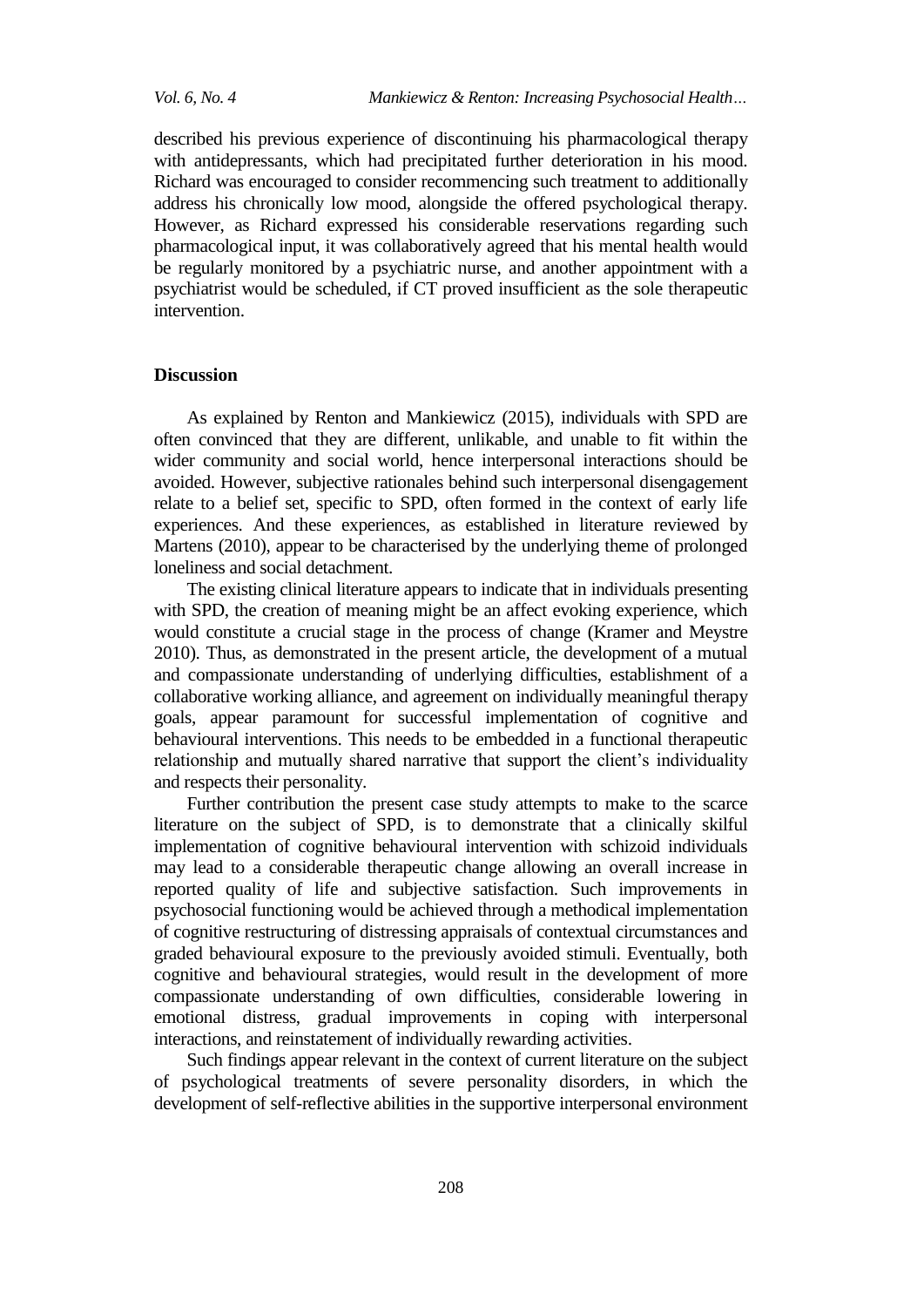*Vol. 6, No. 4 Mankiewicz & Renton: Increasing Psychosocial Health…*

described his previous experience of discontinuing his pharmacological therapy with antidepressants, which had precipitated further deterioration in his mood. Richard was encouraged to consider recommencing such treatment to additionally address his chronically low mood, alongside the offered psychological therapy. However, as Richard expressed his considerable reservations regarding such pharmacological input, it was collaboratively agreed that his mental health would be regularly monitored by a psychiatric nurse, and another appointment with a psychiatrist would be scheduled, if CT proved insufficient as the sole therapeutic intervention.

## **Discussion**

As explained by Renton and Mankiewicz (2015), individuals with SPD are often convinced that they are different, unlikable, and unable to fit within the wider community and social world, hence interpersonal interactions should be avoided. However, subjective rationales behind such interpersonal disengagement relate to a belief set, specific to SPD, often formed in the context of early life experiences. And these experiences, as established in literature reviewed by Martens (2010), appear to be characterised by the underlying theme of prolonged loneliness and social detachment.

The existing clinical literature appears to indicate that in individuals presenting with SPD, the creation of meaning might be an affect evoking experience, which would constitute a crucial stage in the process of change (Kramer and Meystre 2010). Thus, as demonstrated in the present article, the development of a mutual and compassionate understanding of underlying difficulties, establishment of a collaborative working alliance, and agreement on individually meaningful therapy goals, appear paramount for successful implementation of cognitive and behavioural interventions. This needs to be embedded in a functional therapeutic relationship and mutually shared narrative that support the client's individuality and respects their personality.

Further contribution the present case study attempts to make to the scarce literature on the subject of SPD, is to demonstrate that a clinically skilful implementation of cognitive behavioural intervention with schizoid individuals may lead to a considerable therapeutic change allowing an overall increase in reported quality of life and subjective satisfaction. Such improvements in psychosocial functioning would be achieved through a methodical implementation of cognitive restructuring of distressing appraisals of contextual circumstances and graded behavioural exposure to the previously avoided stimuli. Eventually, both cognitive and behavioural strategies, would result in the development of more compassionate understanding of own difficulties, considerable lowering in emotional distress, gradual improvements in coping with interpersonal interactions, and reinstatement of individually rewarding activities.

Such findings appear relevant in the context of current literature on the subject of psychological treatments of severe personality disorders, in which the development of self-reflective abilities in the supportive interpersonal environment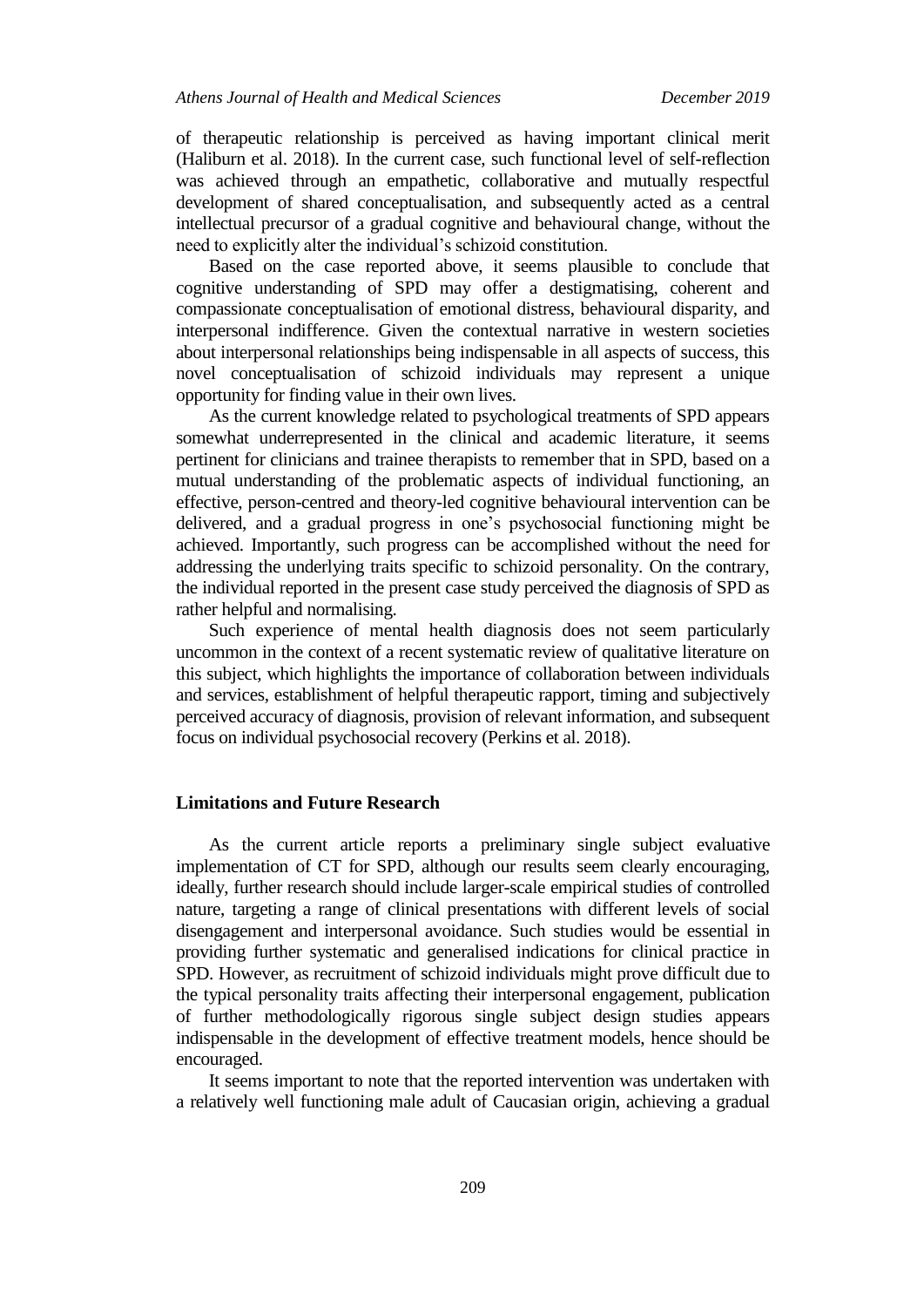of therapeutic relationship is perceived as having important clinical merit (Haliburn et al. 2018). In the current case, such functional level of self-reflection was achieved through an empathetic, collaborative and mutually respectful development of shared conceptualisation, and subsequently acted as a central intellectual precursor of a gradual cognitive and behavioural change, without the need to explicitly alter the individual's schizoid constitution.

Based on the case reported above, it seems plausible to conclude that cognitive understanding of SPD may offer a destigmatising, coherent and compassionate conceptualisation of emotional distress, behavioural disparity, and interpersonal indifference. Given the contextual narrative in western societies about interpersonal relationships being indispensable in all aspects of success, this novel conceptualisation of schizoid individuals may represent a unique opportunity for finding value in their own lives.

As the current knowledge related to psychological treatments of SPD appears somewhat underrepresented in the clinical and academic literature, it seems pertinent for clinicians and trainee therapists to remember that in SPD, based on a mutual understanding of the problematic aspects of individual functioning, an effective, person-centred and theory-led cognitive behavioural intervention can be delivered, and a gradual progress in one's psychosocial functioning might be achieved. Importantly, such progress can be accomplished without the need for addressing the underlying traits specific to schizoid personality. On the contrary, the individual reported in the present case study perceived the diagnosis of SPD as rather helpful and normalising.

Such experience of mental health diagnosis does not seem particularly uncommon in the context of a recent systematic review of qualitative literature on this subject, which highlights the importance of collaboration between individuals and services, establishment of helpful therapeutic rapport, timing and subjectively perceived accuracy of diagnosis, provision of relevant information, and subsequent focus on individual psychosocial recovery (Perkins et al. 2018).

#### **Limitations and Future Research**

As the current article reports a preliminary single subject evaluative implementation of CT for SPD, although our results seem clearly encouraging, ideally, further research should include larger-scale empirical studies of controlled nature, targeting a range of clinical presentations with different levels of social disengagement and interpersonal avoidance. Such studies would be essential in providing further systematic and generalised indications for clinical practice in SPD. However, as recruitment of schizoid individuals might prove difficult due to the typical personality traits affecting their interpersonal engagement, publication of further methodologically rigorous single subject design studies appears indispensable in the development of effective treatment models, hence should be encouraged.

It seems important to note that the reported intervention was undertaken with a relatively well functioning male adult of Caucasian origin, achieving a gradual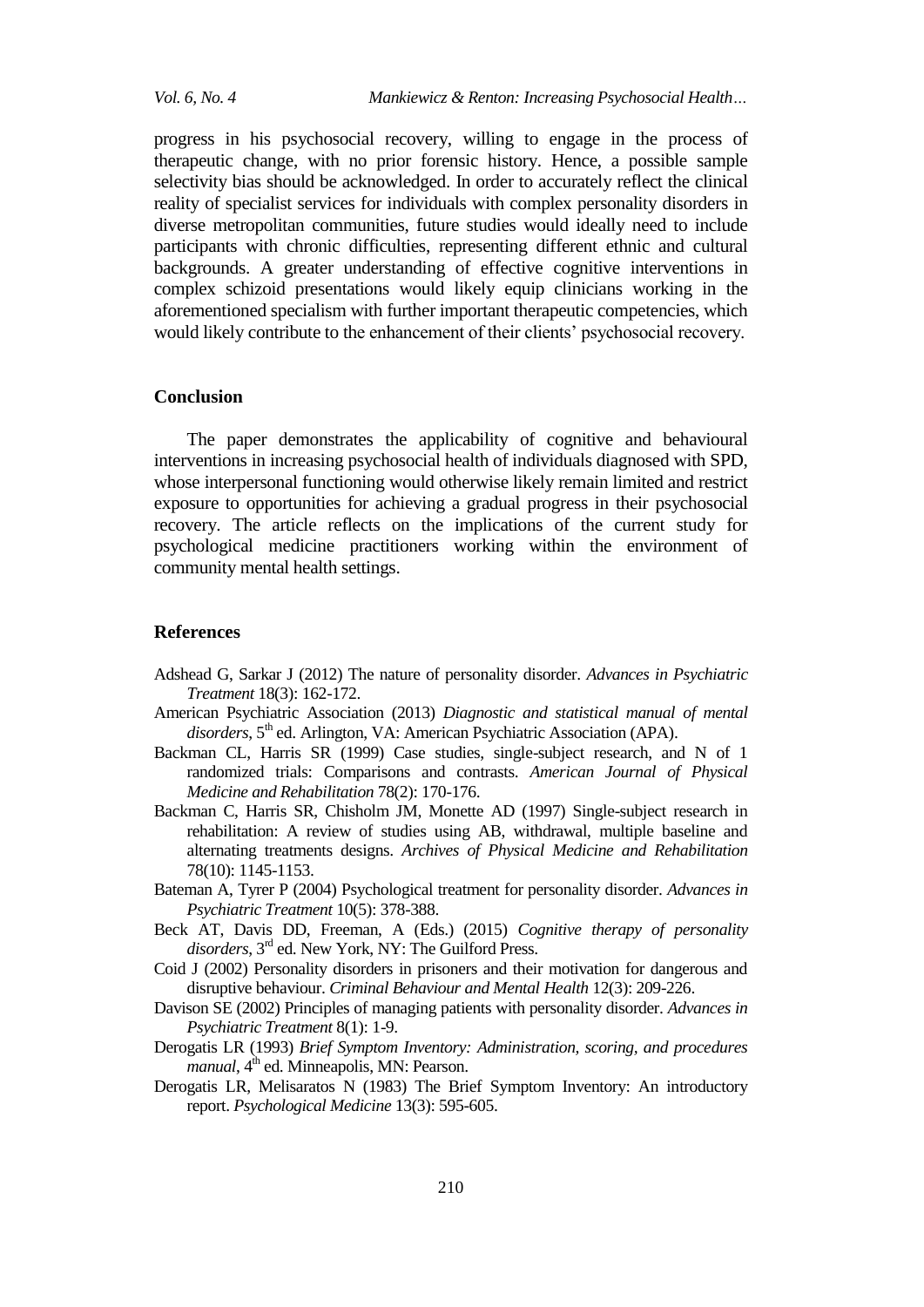*Vol. 6, No. 4 Mankiewicz & Renton: Increasing Psychosocial Health…*

progress in his psychosocial recovery, willing to engage in the process of therapeutic change, with no prior forensic history. Hence, a possible sample selectivity bias should be acknowledged. In order to accurately reflect the clinical reality of specialist services for individuals with complex personality disorders in diverse metropolitan communities, future studies would ideally need to include participants with chronic difficulties, representing different ethnic and cultural backgrounds. A greater understanding of effective cognitive interventions in complex schizoid presentations would likely equip clinicians working in the aforementioned specialism with further important therapeutic competencies, which would likely contribute to the enhancement of their clients' psychosocial recovery.

#### **Conclusion**

The paper demonstrates the applicability of cognitive and behavioural interventions in increasing psychosocial health of individuals diagnosed with SPD, whose interpersonal functioning would otherwise likely remain limited and restrict exposure to opportunities for achieving a gradual progress in their psychosocial recovery. The article reflects on the implications of the current study for psychological medicine practitioners working within the environment of community mental health settings.

#### **References**

- Adshead G, Sarkar J (2012) The nature of personality disorder. *Advances in Psychiatric Treatment* 18(3): 162-172.
- American Psychiatric Association (2013) *Diagnostic and statistical manual of mental*  disorders, 5<sup>th</sup> ed. Arlington, VA: American Psychiatric Association (APA).
- Backman CL, Harris SR (1999) Case studies, single-subject research, and N of 1 randomized trials: Comparisons and contrasts. *American Journal of Physical Medicine and Rehabilitation* 78(2): 170-176.
- Backman C, Harris SR, Chisholm JM, Monette AD (1997) Single-subject research in rehabilitation: A review of studies using AB, withdrawal, multiple baseline and alternating treatments designs. *Archives of Physical Medicine and Rehabilitation*  78(10): 1145-1153.
- Bateman A, Tyrer P (2004) Psychological treatment for personality disorder. *Advances in Psychiatric Treatment* 10(5): 378-388.
- Beck AT, Davis DD, Freeman, A (Eds.) (2015) *Cognitive therapy of personality disorders*, 3 rd ed. New York, NY: The Guilford Press.
- Coid J (2002) Personality disorders in prisoners and their motivation for dangerous and disruptive behaviour. *Criminal Behaviour and Mental Health* 12(3): 209-226.
- Davison SE (2002) Principles of managing patients with personality disorder. *Advances in Psychiatric Treatment* 8(1): 1-9.
- Derogatis LR (1993) *Brief Symptom Inventory: Administration, scoring, and procedures manual*, 4<sup>th</sup> ed. Minneapolis, MN: Pearson.
- Derogatis LR, Melisaratos N (1983) The Brief Symptom Inventory: An introductory report. *Psychological Medicine* 13(3): 595-605.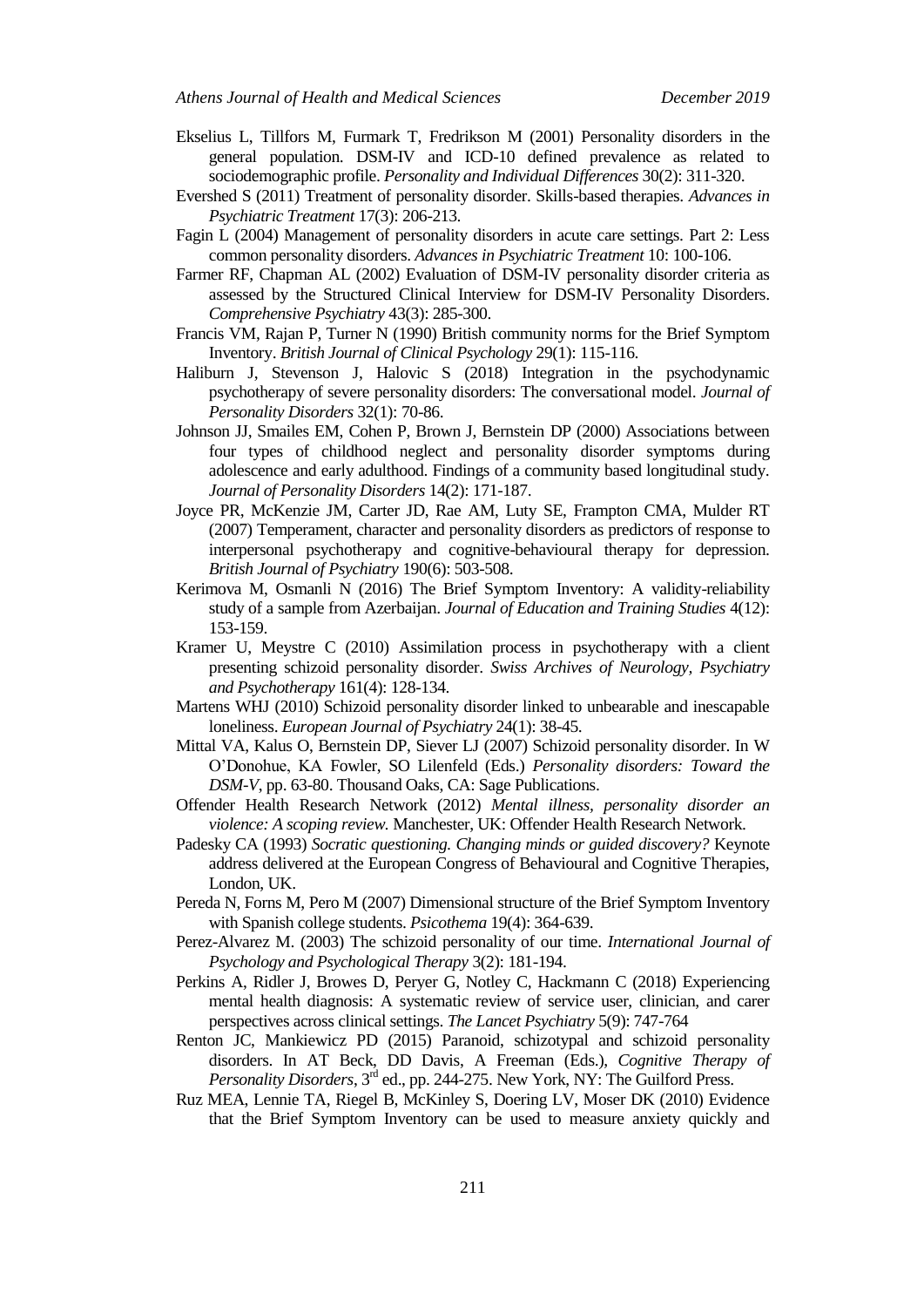- Ekselius L, Tillfors M, Furmark T, Fredrikson M (2001) Personality disorders in the general population. DSM-IV and ICD-10 defined prevalence as related to sociodemographic profile. *Personality and Individual Differences* 30(2): 311-320.
- Evershed S (2011) Treatment of personality disorder. Skills-based therapies. *Advances in Psychiatric Treatment* 17(3): 206-213.
- Fagin L (2004) Management of personality disorders in acute care settings. Part 2: Less common personality disorders. *Advances in Psychiatric Treatment* 10: 100-106.
- Farmer RF, Chapman AL (2002) Evaluation of DSM-IV personality disorder criteria as assessed by the Structured Clinical Interview for DSM-IV Personality Disorders. *Comprehensive Psychiatry* 43(3): 285-300.
- Francis VM, Rajan P, Turner N (1990) British community norms for the Brief Symptom Inventory. *British Journal of Clinical Psychology* 29(1): 115-116.
- Haliburn J, Stevenson J, Halovic S (2018) Integration in the psychodynamic psychotherapy of severe personality disorders: The conversational model. *Journal of Personality Disorders* 32(1): 70-86.
- Johnson JJ, Smailes EM, Cohen P, Brown J, Bernstein DP (2000) Associations between four types of childhood neglect and personality disorder symptoms during adolescence and early adulthood. Findings of a community based longitudinal study. *Journal of Personality Disorders* 14(2): 171-187.
- Joyce PR, McKenzie JM, Carter JD, Rae AM, Luty SE, Frampton CMA, Mulder RT (2007) Temperament, character and personality disorders as predictors of response to interpersonal psychotherapy and cognitive-behavioural therapy for depression. *British Journal of Psychiatry* 190(6): 503-508.
- Kerimova M, Osmanli N (2016) The Brief Symptom Inventory: A validity-reliability study of a sample from Azerbaijan. *Journal of Education and Training Studies* 4(12): 153-159.
- Kramer U, Meystre C (2010) Assimilation process in psychotherapy with a client presenting schizoid personality disorder. *Swiss Archives of Neurology, Psychiatry and Psychotherapy* 161(4): 128-134.
- Martens WHJ (2010) Schizoid personality disorder linked to unbearable and inescapable loneliness. *European Journal of Psychiatry* 24(1): 38-45.
- Mittal VA, Kalus O, Bernstein DP, Siever LJ (2007) Schizoid personality disorder. In W O'Donohue, KA Fowler, SO Lilenfeld (Eds.) *Personality disorders: Toward the DSM-V*, pp. 63-80. Thousand Oaks, CA: Sage Publications.
- Offender Health Research Network (2012) *Mental illness, personality disorder an violence: A scoping review.* Manchester, UK: Offender Health Research Network.
- Padesky CA (1993) *Socratic questioning. Changing minds or guided discovery?* Keynote address delivered at the European Congress of Behavioural and Cognitive Therapies, London, UK.
- Pereda N, Forns M, Pero M (2007) Dimensional structure of the Brief Symptom Inventory with Spanish college students. *Psicothema* 19(4): 364-639.
- Perez-Alvarez M. (2003) The schizoid personality of our time. *International Journal of Psychology and Psychological Therapy* 3(2): 181-194.
- Perkins A, Ridler J, Browes D, Peryer G, Notley C, Hackmann C (2018) Experiencing mental health diagnosis: A systematic review of service user, clinician, and carer perspectives across clinical settings. *The Lancet Psychiatry* 5(9): 747-764
- Renton JC, Mankiewicz PD (2015) Paranoid, schizotypal and schizoid personality disorders. In AT Beck, DD Davis, A Freeman (Eds.), *Cognitive Therapy of*  Personality Disorders, 3<sup>rd</sup> ed., pp. 244-275. New York, NY: The Guilford Press.
- Ruz MEA, Lennie TA, Riegel B, McKinley S, Doering LV, Moser DK (2010) Evidence that the Brief Symptom Inventory can be used to measure anxiety quickly and